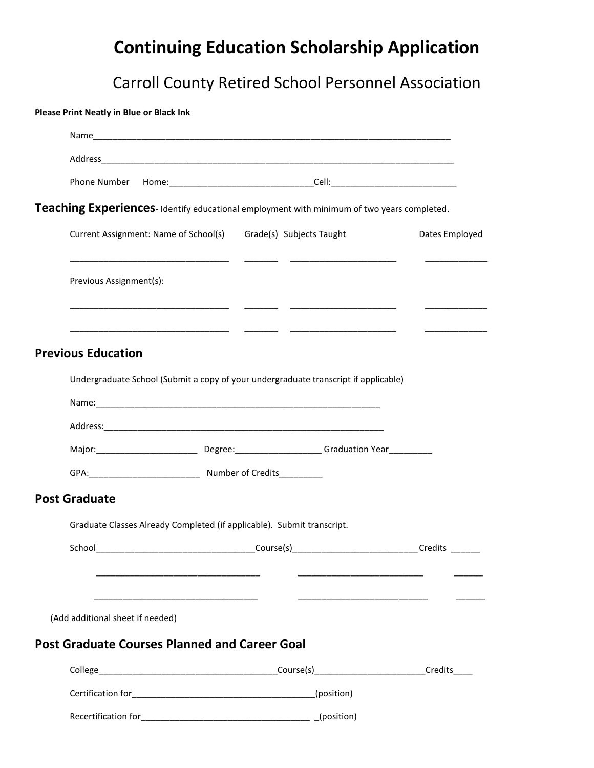# **Continuing Education Scholarship Application**

# Carroll County Retired School Personnel Association

**Please Print Neatly in Blue or Black Ink**

| Phone Number Home: _________________________________Cell: ______________________              |  |  |                |  |
|-----------------------------------------------------------------------------------------------|--|--|----------------|--|
| Teaching Experiences-Identify educational employment with minimum of two years completed.     |  |  |                |  |
| Current Assignment: Name of School(s) Grade(s) Subjects Taught                                |  |  | Dates Employed |  |
| Previous Assignment(s):                                                                       |  |  |                |  |
| <b>Previous Education</b>                                                                     |  |  |                |  |
| Undergraduate School (Submit a copy of your undergraduate transcript if applicable)           |  |  |                |  |
|                                                                                               |  |  |                |  |
|                                                                                               |  |  |                |  |
| Major: ____________________________Degree: _______________________Graduation Year____________ |  |  |                |  |
|                                                                                               |  |  |                |  |
| <b>Post Graduate</b>                                                                          |  |  |                |  |
| Graduate Classes Already Completed (if applicable). Submit transcript.                        |  |  |                |  |
|                                                                                               |  |  |                |  |
|                                                                                               |  |  |                |  |
| (Add additional sheet if needed)                                                              |  |  |                |  |
| <b>Post Graduate Courses Planned and Career Goal</b>                                          |  |  |                |  |
|                                                                                               |  |  | Credits        |  |
|                                                                                               |  |  |                |  |
|                                                                                               |  |  |                |  |